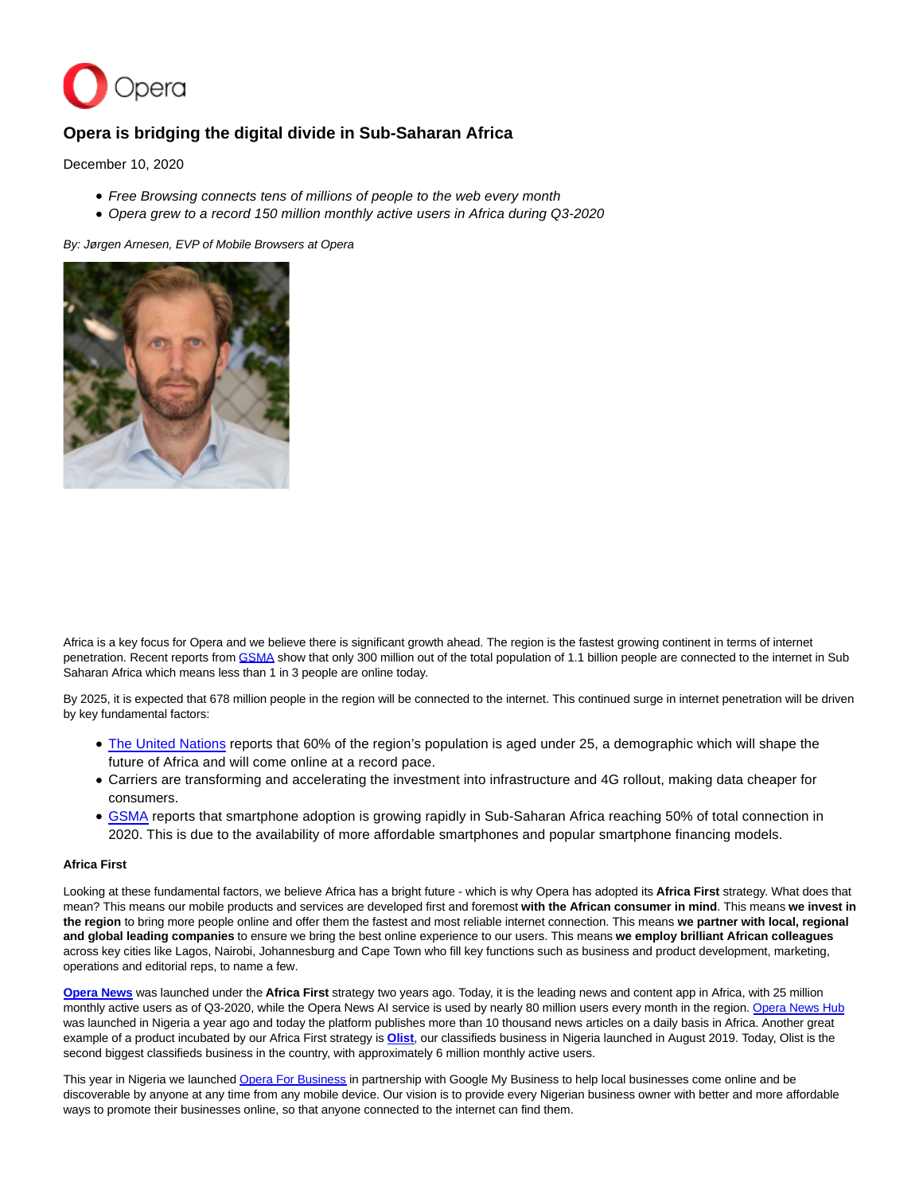

# **Opera is bridging the digital divide in Sub-Saharan Africa**

December 10, 2020

- Free Browsing connects tens of millions of people to the web every month
- Opera grew to a record 150 million monthly active users in Africa during Q3-2020

By: Jørgen Arnesen, EVP of Mobile Browsers at Opera



Africa is a key focus for Opera and we believe there is significant growth ahead. The region is the fastest growing continent in terms of internet penetration. Recent reports from [GSMA s](https://www.gsma.com/mobileeconomy/wp-content/uploads/2020/09/GSMA_MobileEconomy2020_SSA_Eng.pdf)how that only 300 million out of the total population of 1.1 billion people are connected to the internet in Sub Saharan Africa which means less than 1 in 3 people are online today.

By 2025, it is expected that 678 million people in the region will be connected to the internet. This continued surge in internet penetration will be driven by key fundamental factors:

- [The United Nations r](https://population.un.org/wpp/Publications/Files/WPP2019_DataBooklet.pdf)eports that 60% of the region's population is aged under 25, a demographic which will shape the future of Africa and will come online at a record pace.
- Carriers are transforming and accelerating the investment into infrastructure and 4G rollout, making data cheaper for consumers.
- [GSMA r](https://www.gsma.com/mobileeconomy/wp-content/uploads/2020/09/GSMA_MobileEconomy2020_SSA_Eng.pdf)eports that smartphone adoption is growing rapidly in Sub-Saharan Africa reaching 50% of total connection in 2020. This is due to the availability of more affordable smartphones and popular smartphone financing models.

## **Africa First**

Looking at these fundamental factors, we believe Africa has a bright future - which is why Opera has adopted its **Africa First** strategy. What does that mean? This means our mobile products and services are developed first and foremost **with the African consumer in mind**. This means **we invest in the region** to bring more people online and offer them the fastest and most reliable internet connection. This means **we partner with local, regional and global leading companies** to ensure we bring the best online experience to our users. This means **we employ brilliant African colleagues** across key cities like Lagos, Nairobi, Johannesburg and Cape Town who fill key functions such as business and product development, marketing, operations and editorial reps, to name a few.

**[Opera News](https://play.google.com/store/apps/details?id=com.opera.app.news)** was launched under the **Africa First** strategy two years ago. Today, it is the leading news and content app in Africa, with 25 million monthly active users as of Q3-2020, while the Opera News AI service is used by nearly 80 million users every month in the region. [Opera News Hub](https://hub.opera.com/login?redirect=%2Fhome%2Fdashboard) was launched in Nigeria a year ago and today the platform publishes more than 10 thousand news articles on a daily basis in Africa. Another great example of a product incubated by our Africa First strategy is **[Olist](https://play.google.com/store/apps/details?id=com.opera.olist)**, our classifieds business in Nigeria launched in August 2019. Today, Olist is the second biggest classifieds business in the country, with approximately 6 million monthly active users.

This year in Nigeria we launched [Opera For Business i](https://www.opera.com/ofb)n partnership with Google My Business to help local businesses come online and be discoverable by anyone at any time from any mobile device. Our vision is to provide every Nigerian business owner with better and more affordable ways to promote their businesses online, so that anyone connected to the internet can find them.